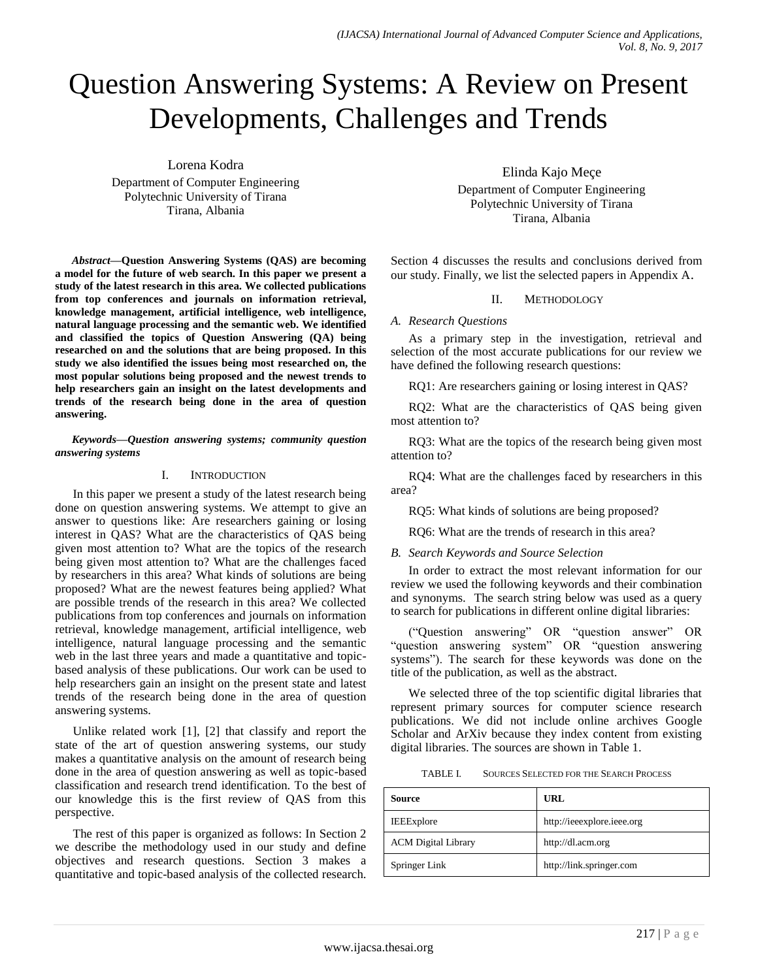# Question Answering Systems: A Review on Present Developments, Challenges and Trends

Lorena Kodra

Department of Computer Engineering Polytechnic University of Tirana Tirana, Albania

*Abstract***—Question Answering Systems (QAS) are becoming a model for the future of web search. In this paper we present a study of the latest research in this area. We collected publications from top conferences and journals on information retrieval, knowledge management, artificial intelligence, web intelligence, natural language processing and the semantic web. We identified and classified the topics of Question Answering (QA) being researched on and the solutions that are being proposed. In this study we also identified the issues being most researched on, the most popular solutions being proposed and the newest trends to help researchers gain an insight on the latest developments and trends of the research being done in the area of question answering.**

*Keywords—Question answering systems; community question answering systems*

#### I. INTRODUCTION

In this paper we present a study of the latest research being done on question answering systems. We attempt to give an answer to questions like: Are researchers gaining or losing interest in QAS? What are the characteristics of QAS being given most attention to? What are the topics of the research being given most attention to? What are the challenges faced by researchers in this area? What kinds of solutions are being proposed? What are the newest features being applied? What are possible trends of the research in this area? We collected publications from top conferences and journals on information retrieval, knowledge management, artificial intelligence, web intelligence, natural language processing and the semantic web in the last three years and made a quantitative and topicbased analysis of these publications. Our work can be used to help researchers gain an insight on the present state and latest trends of the research being done in the area of question answering systems.

Unlike related work [1], [2] that classify and report the state of the art of question answering systems, our study makes a quantitative analysis on the amount of research being done in the area of question answering as well as topic-based classification and research trend identification. To the best of our knowledge this is the first review of QAS from this perspective.

The rest of this paper is organized as follows: In Section 2 we describe the methodology used in our study and define objectives and research questions. Section 3 makes a quantitative and topic-based analysis of the collected research.

Elinda Kajo Meçe Department of Computer Engineering Polytechnic University of Tirana Tirana, Albania

Section 4 discusses the results and conclusions derived from our study. Finally, we list the selected papers in Appendix A.

#### II. METHODOLOGY

#### *A. Research Questions*

As a primary step in the investigation, retrieval and selection of the most accurate publications for our review we have defined the following research questions:

RQ1: Are researchers gaining or losing interest in QAS?

RQ2: What are the characteristics of QAS being given most attention to?

RQ3: What are the topics of the research being given most attention to?

RQ4: What are the challenges faced by researchers in this area?

RQ5: What kinds of solutions are being proposed?

RQ6: What are the trends of research in this area?

# *B. Search Keywords and Source Selection*

In order to extract the most relevant information for our review we used the following keywords and their combination and synonyms. The search string below was used as a query to search for publications in different online digital libraries:

(―Question answering‖ OR ―question answer‖ OR "question answering system" OR "question answering systems"). The search for these keywords was done on the title of the publication, as well as the abstract.

We selected three of the top scientific digital libraries that represent primary sources for computer science research publications. We did not include online archives Google Scholar and ArXiv because they index content from existing digital libraries. The sources are shown in Table 1.

TABLE I. SOURCES SELECTED FOR THE SEARCH PROCESS

| Source                     | URL                        |
|----------------------------|----------------------------|
| <b>IEEExplore</b>          | http://ieeexplore.ieee.org |
| <b>ACM</b> Digital Library | http://dl.acm.org          |
| Springer Link              | http://link.springer.com   |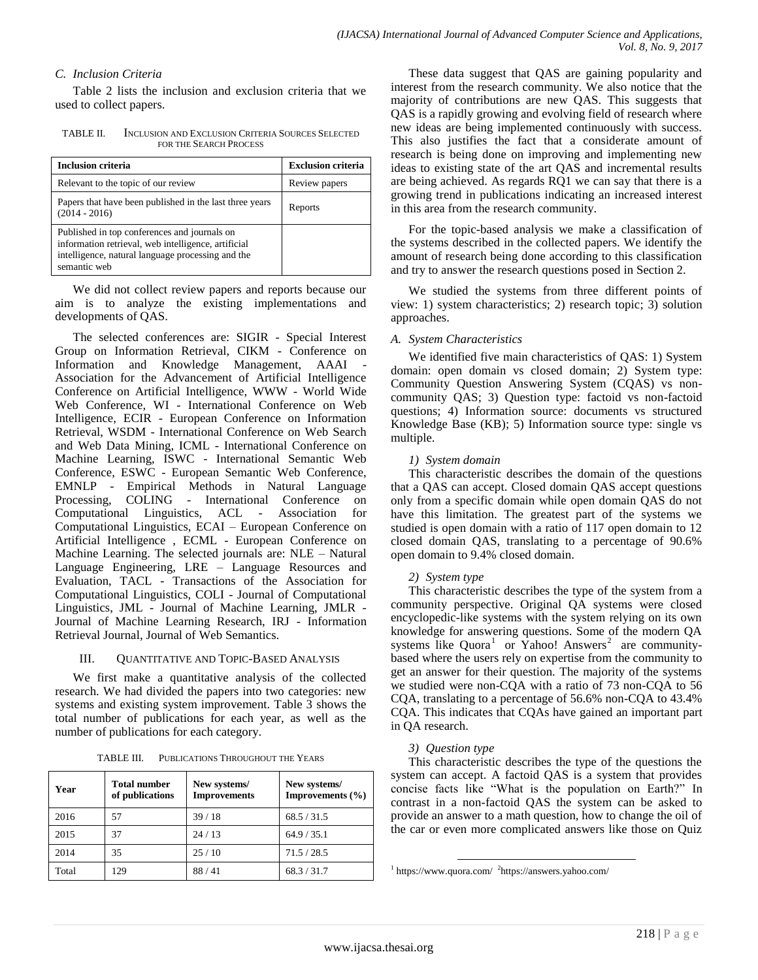#### *C. Inclusion Criteria*

Table 2 lists the inclusion and exclusion criteria that we used to collect papers.

TABLE II. INCLUSION AND EXCLUSION CRITERIA SOURCES SELECTED FOR THE SEARCH PROCESS

| <b>Inclusion criteria</b>                                                                                                                                                | <b>Exclusion criteria</b> |
|--------------------------------------------------------------------------------------------------------------------------------------------------------------------------|---------------------------|
| Relevant to the topic of our review                                                                                                                                      | Review papers             |
| Papers that have been published in the last three years<br>$(2014 - 2016)$                                                                                               | Reports                   |
| Published in top conferences and journals on<br>information retrieval, web intelligence, artificial<br>intelligence, natural language processing and the<br>semantic web |                           |

We did not collect review papers and reports because our aim is to analyze the existing implementations and developments of QAS.

The selected conferences are: SIGIR - Special Interest Group on Information Retrieval, CIKM - Conference on Information and Knowledge Management, AAAI Association for the Advancement of Artificial Intelligence Conference on Artificial Intelligence, WWW - World Wide Web Conference, WI - International Conference on Web Intelligence, ECIR - European Conference on Information Retrieval, WSDM - International Conference on Web Search and Web Data Mining, ICML - International Conference on Machine Learning, ISWC - International Semantic Web Conference, ESWC - European Semantic Web Conference, EMNLP - Empirical Methods in Natural Language Processing, COLING - International Conference on Computational Linguistics, ACL - Association for Computational Linguistics, ECAI – European Conference on Artificial Intelligence , ECML - European Conference on Machine Learning. The selected journals are: NLE – Natural Language Engineering, LRE – Language Resources and Evaluation, TACL - Transactions of the Association for Computational Linguistics, COLI - Journal of Computational Linguistics, JML - Journal of Machine Learning, JMLR - Journal of Machine Learning Research, IRJ - Information Retrieval Journal, Journal of Web Semantics.

#### III. QUANTITATIVE AND TOPIC-BASED ANALYSIS

We first make a quantitative analysis of the collected research. We had divided the papers into two categories: new systems and existing system improvement. Table 3 shows the total number of publications for each year, as well as the number of publications for each category.

| TABLE III. | PUBLICATIONS THROUGHOUT THE YEARS |  |
|------------|-----------------------------------|--|
|            |                                   |  |

| Year  | <b>Total number</b><br>of publications | New systems/<br><b>Improvements</b> | New systems/<br>Improvements $(\% )$ |
|-------|----------------------------------------|-------------------------------------|--------------------------------------|
| 2016  | 57                                     | 39/18                               | 68.5 / 31.5                          |
| 2015  | 37                                     | 24/13                               | 64.9 / 35.1                          |
| 2014  | 35                                     | 25/10                               | 71.5/28.5                            |
| Total | 129                                    | 88/41                               | 68.3 / 31.7                          |

These data suggest that QAS are gaining popularity and interest from the research community. We also notice that the majority of contributions are new QAS. This suggests that QAS is a rapidly growing and evolving field of research where new ideas are being implemented continuously with success. This also justifies the fact that a considerate amount of research is being done on improving and implementing new ideas to existing state of the art QAS and incremental results are being achieved. As regards RQ1 we can say that there is a growing trend in publications indicating an increased interest in this area from the research community.

For the topic-based analysis we make a classification of the systems described in the collected papers. We identify the amount of research being done according to this classification and try to answer the research questions posed in Section 2.

We studied the systems from three different points of view: 1) system characteristics; 2) research topic; 3) solution approaches.

#### *A. System Characteristics*

We identified five main characteristics of QAS: 1) System domain: open domain vs closed domain; 2) System type: Community Question Answering System (CQAS) vs noncommunity QAS; 3) Question type: factoid vs non-factoid questions; 4) Information source: documents vs structured Knowledge Base (KB); 5) Information source type: single vs multiple.

#### *1) System domain*

This characteristic describes the domain of the questions that a QAS can accept. Closed domain QAS accept questions only from a specific domain while open domain QAS do not have this limitation. The greatest part of the systems we studied is open domain with a ratio of 117 open domain to 12 closed domain QAS, translating to a percentage of 90.6% open domain to 9.4% closed domain.

# *2) System type*

This characteristic describes the type of the system from a community perspective. Original QA systems were closed encyclopedic-like systems with the system relying on its own knowledge for answering questions. Some of the modern QA systems like Quora<sup>1</sup> or Yahoo! Answers<sup>2</sup> are communitybased where the users rely on expertise from the community to get an answer for their question. The majority of the systems we studied were non-CQA with a ratio of 73 non-CQA to 56 CQA, translating to a percentage of 56.6% non-CQA to 43.4% CQA. This indicates that CQAs have gained an important part in QA research.

# *3) Question type*

This characteristic describes the type of the questions the system can accept. A factoid QAS is a system that provides concise facts like "What is the population on Earth?" In contrast in a non-factoid QAS the system can be asked to provide an answer to a math question, how to change the oil of the car or even more complicated answers like those on Quiz

l 1 https://www.quora.com/ <sup>2</sup> https://answers.yahoo.com/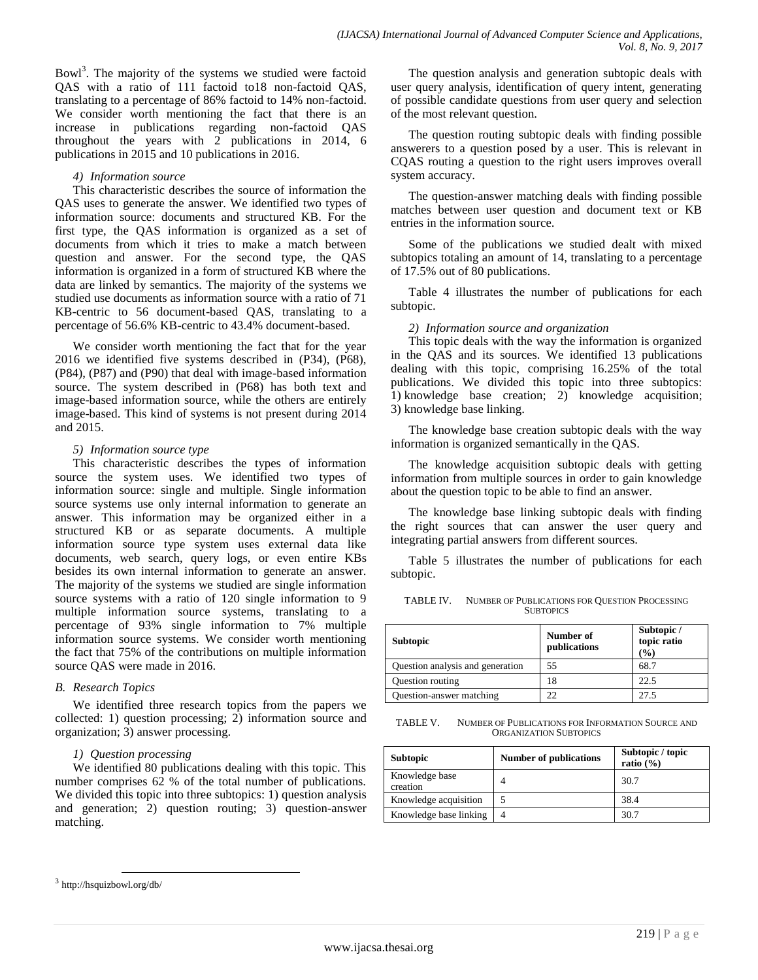Bowl<sup>3</sup>. The majority of the systems we studied were factoid QAS with a ratio of 111 factoid to18 non-factoid QAS, translating to a percentage of 86% factoid to 14% non-factoid. We consider worth mentioning the fact that there is an increase in publications regarding non-factoid QAS throughout the years with 2 publications in 2014, 6 publications in 2015 and 10 publications in 2016.

#### *4) Information source*

This characteristic describes the source of information the QAS uses to generate the answer. We identified two types of information source: documents and structured KB. For the first type, the QAS information is organized as a set of documents from which it tries to make a match between question and answer. For the second type, the QAS information is organized in a form of structured KB where the data are linked by semantics. The majority of the systems we studied use documents as information source with a ratio of 71 KB-centric to 56 document-based QAS, translating to a percentage of 56.6% KB-centric to 43.4% document-based.

We consider worth mentioning the fact that for the year 2016 we identified five systems described in (P34), (P68), (P84), (P87) and (P90) that deal with image-based information source. The system described in (P68) has both text and image-based information source, while the others are entirely image-based. This kind of systems is not present during 2014 and 2015.

# *5) Information source type*

This characteristic describes the types of information source the system uses. We identified two types of information source: single and multiple. Single information source systems use only internal information to generate an answer. This information may be organized either in a structured KB or as separate documents. A multiple information source type system uses external data like documents, web search, query logs, or even entire KBs besides its own internal information to generate an answer. The majority of the systems we studied are single information source systems with a ratio of 120 single information to 9 multiple information source systems, translating to a percentage of 93% single information to 7% multiple information source systems. We consider worth mentioning the fact that 75% of the contributions on multiple information source QAS were made in 2016.

# *B. Research Topics*

We identified three research topics from the papers we collected: 1) question processing; 2) information source and organization; 3) answer processing.

# *1) Question processing*

We identified 80 publications dealing with this topic. This number comprises 62 % of the total number of publications. We divided this topic into three subtopics: 1) question analysis and generation; 2) question routing; 3) question-answer matching.

The question routing subtopic deals with finding possible answerers to a question posed by a user. This is relevant in CQAS routing a question to the right users improves overall system accuracy.

The question-answer matching deals with finding possible matches between user question and document text or KB entries in the information source.

Some of the publications we studied dealt with mixed subtopics totaling an amount of 14, translating to a percentage of 17.5% out of 80 publications.

Table 4 illustrates the number of publications for each subtopic.

# *2) Information source and organization*

This topic deals with the way the information is organized in the QAS and its sources. We identified 13 publications dealing with this topic, comprising 16.25% of the total publications. We divided this topic into three subtopics: 1) knowledge base creation; 2) knowledge acquisition; 3) knowledge base linking.

The knowledge base creation subtopic deals with the way information is organized semantically in the QAS.

The knowledge acquisition subtopic deals with getting information from multiple sources in order to gain knowledge about the question topic to be able to find an answer.

The knowledge base linking subtopic deals with finding the right sources that can answer the user query and integrating partial answers from different sources.

Table 5 illustrates the number of publications for each subtopic.

TABLE IV. NUMBER OF PUBLICATIONS FOR QUESTION PROCESSING **SUBTOPICS** 

| <b>Subtopic</b>                  | Number of<br>publications | Subtopic /<br>topic ratio<br>(%) |
|----------------------------------|---------------------------|----------------------------------|
| Question analysis and generation | 55                        | 68.7                             |
| Question routing                 | 18                        | 22.5                             |
| Question-answer matching         | 22                        | 27.5                             |

TABLE V. NUMBER OF PUBLICATIONS FOR INFORMATION SOURCE AND ORGANIZATION SUBTOPICS

| <b>Subtopic</b>            | <b>Number of publications</b> | Subtopic / topic<br>ratio $(\% )$ |
|----------------------------|-------------------------------|-----------------------------------|
| Knowledge base<br>creation |                               | 30.7                              |
| Knowledge acquisition      |                               | 38.4                              |
| Knowledge base linking     |                               | 30.7                              |

 $\overline{a}$ 

The question analysis and generation subtopic deals with user query analysis, identification of query intent, generating of possible candidate questions from user query and selection of the most relevant question.

<sup>3</sup> http://hsquizbowl.org/db/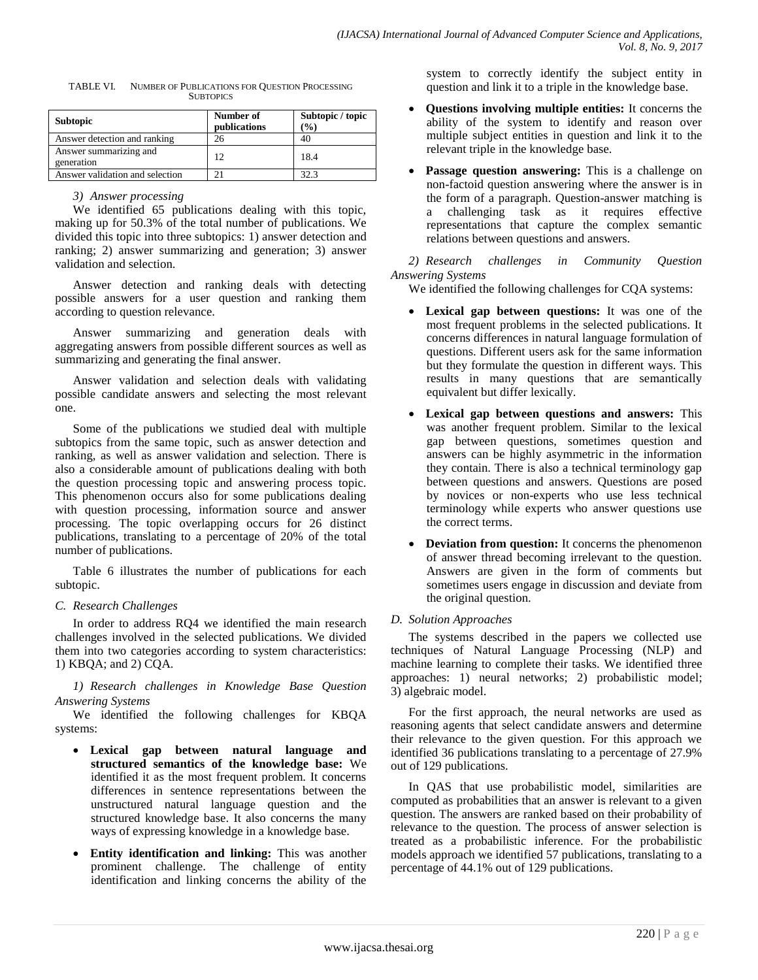| <b>Subtopic</b>                      | Number of<br>publications | Subtopic / topic<br>$\binom{0}{0}$ |
|--------------------------------------|---------------------------|------------------------------------|
| Answer detection and ranking         | 26                        | 40                                 |
| Answer summarizing and<br>generation | 12                        | 18.4                               |
| Answer validation and selection      | 21                        | 32.3                               |

| TABLE VI. | NUMBER OF PUBLICATIONS FOR QUESTION PROCESSING |
|-----------|------------------------------------------------|
|           | <b>SUBTOPICS</b>                               |

#### *3) Answer processing*

We identified 65 publications dealing with this topic, making up for 50.3% of the total number of publications. We divided this topic into three subtopics: 1) answer detection and ranking; 2) answer summarizing and generation; 3) answer validation and selection.

Answer detection and ranking deals with detecting possible answers for a user question and ranking them according to question relevance.

Answer summarizing and generation deals with aggregating answers from possible different sources as well as summarizing and generating the final answer.

Answer validation and selection deals with validating possible candidate answers and selecting the most relevant one.

Some of the publications we studied deal with multiple subtopics from the same topic, such as answer detection and ranking, as well as answer validation and selection. There is also a considerable amount of publications dealing with both the question processing topic and answering process topic. This phenomenon occurs also for some publications dealing with question processing, information source and answer processing. The topic overlapping occurs for 26 distinct publications, translating to a percentage of 20% of the total number of publications.

Table 6 illustrates the number of publications for each subtopic.

# *C. Research Challenges*

In order to address RQ4 we identified the main research challenges involved in the selected publications. We divided them into two categories according to system characteristics: 1) KBQA; and 2) CQA.

*1) Research challenges in Knowledge Base Question Answering Systems*

We identified the following challenges for KBQA systems:

- **Lexical gap between natural language and structured semantics of the knowledge base:** We identified it as the most frequent problem. It concerns differences in sentence representations between the unstructured natural language question and the structured knowledge base. It also concerns the many ways of expressing knowledge in a knowledge base.
- **Entity identification and linking:** This was another prominent challenge. The challenge of entity identification and linking concerns the ability of the

system to correctly identify the subject entity in question and link it to a triple in the knowledge base.

- **Questions involving multiple entities:** It concerns the ability of the system to identify and reason over multiple subject entities in question and link it to the relevant triple in the knowledge base.
- **Passage question answering:** This is a challenge on non-factoid question answering where the answer is in the form of a paragraph. Question-answer matching is a challenging task as it requires effective representations that capture the complex semantic relations between questions and answers.

*2) Research challenges in Community Question Answering Systems*

We identified the following challenges for CQA systems:

- **Lexical gap between questions:** It was one of the most frequent problems in the selected publications. It concerns differences in natural language formulation of questions. Different users ask for the same information but they formulate the question in different ways. This results in many questions that are semantically equivalent but differ lexically.
- **Lexical gap between questions and answers:** This was another frequent problem. Similar to the lexical gap between questions, sometimes question and answers can be highly asymmetric in the information they contain. There is also a technical terminology gap between questions and answers. Questions are posed by novices or non-experts who use less technical terminology while experts who answer questions use the correct terms.
- **Deviation from question:** It concerns the phenomenon of answer thread becoming irrelevant to the question. Answers are given in the form of comments but sometimes users engage in discussion and deviate from the original question.

# *D. Solution Approaches*

The systems described in the papers we collected use techniques of Natural Language Processing (NLP) and machine learning to complete their tasks. We identified three approaches: 1) neural networks; 2) probabilistic model; 3) algebraic model.

For the first approach, the neural networks are used as reasoning agents that select candidate answers and determine their relevance to the given question. For this approach we identified 36 publications translating to a percentage of 27.9% out of 129 publications.

In QAS that use probabilistic model, similarities are computed as probabilities that an answer is relevant to a given question. The answers are ranked based on their probability of relevance to the question. The process of answer selection is treated as a probabilistic inference. For the probabilistic models approach we identified 57 publications, translating to a percentage of 44.1% out of 129 publications.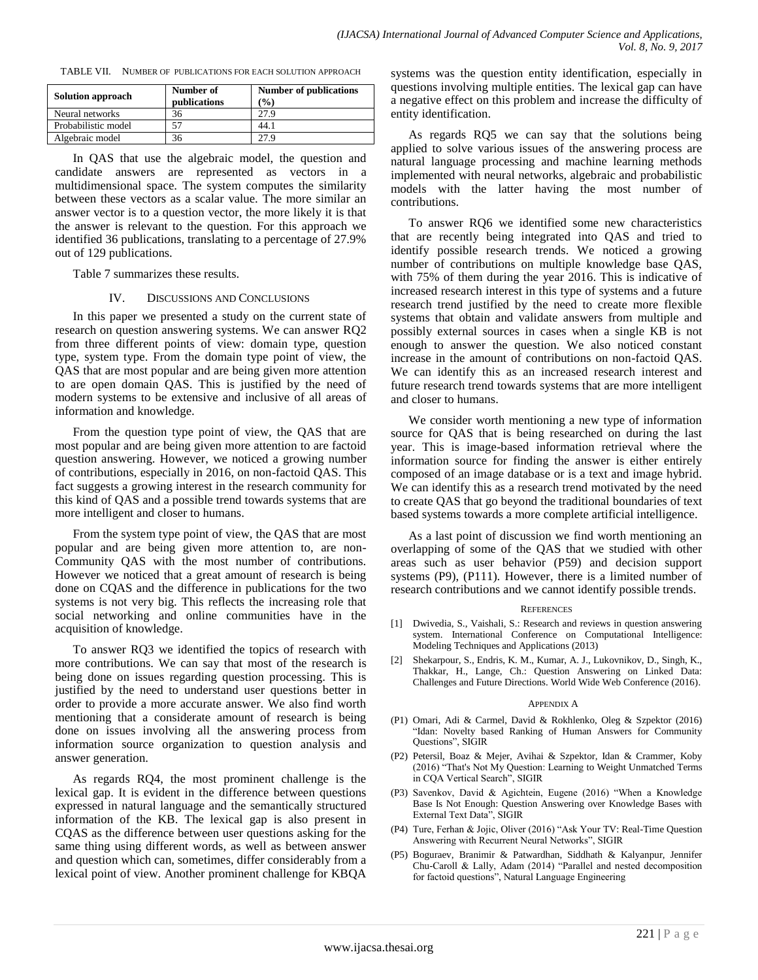|  |  | TABLE VII. NUMBER OF PUBLICATIONS FOR EACH SOLUTION APPROACH |  |  |
|--|--|--------------------------------------------------------------|--|--|
|--|--|--------------------------------------------------------------|--|--|

| <b>Solution approach</b> | Number of<br>publications | <b>Number of publications</b><br>$\frac{9}{0}$ |
|--------------------------|---------------------------|------------------------------------------------|
| Neural networks          | 36                        | 27.9                                           |
| Probabilistic model      |                           | 44.1                                           |
| Algebraic model          |                           | 27.9                                           |

In QAS that use the algebraic model, the question and candidate answers are represented as vectors in a multidimensional space. The system computes the similarity between these vectors as a scalar value. The more similar an answer vector is to a question vector, the more likely it is that the answer is relevant to the question. For this approach we identified 36 publications, translating to a percentage of 27.9% out of 129 publications.

Table 7 summarizes these results.

#### IV. DISCUSSIONS AND CONCLUSIONS

In this paper we presented a study on the current state of research on question answering systems. We can answer RQ2 from three different points of view: domain type, question type, system type. From the domain type point of view, the QAS that are most popular and are being given more attention to are open domain QAS. This is justified by the need of modern systems to be extensive and inclusive of all areas of information and knowledge.

From the question type point of view, the QAS that are most popular and are being given more attention to are factoid question answering. However, we noticed a growing number of contributions, especially in 2016, on non-factoid QAS. This fact suggests a growing interest in the research community for this kind of QAS and a possible trend towards systems that are more intelligent and closer to humans.

From the system type point of view, the QAS that are most popular and are being given more attention to, are non-Community QAS with the most number of contributions. However we noticed that a great amount of research is being done on CQAS and the difference in publications for the two systems is not very big. This reflects the increasing role that social networking and online communities have in the acquisition of knowledge.

To answer RQ3 we identified the topics of research with more contributions. We can say that most of the research is being done on issues regarding question processing. This is justified by the need to understand user questions better in order to provide a more accurate answer. We also find worth mentioning that a considerate amount of research is being done on issues involving all the answering process from information source organization to question analysis and answer generation.

As regards RQ4, the most prominent challenge is the lexical gap. It is evident in the difference between questions expressed in natural language and the semantically structured information of the KB. The lexical gap is also present in CQAS as the difference between user questions asking for the same thing using different words, as well as between answer and question which can, sometimes, differ considerably from a lexical point of view. Another prominent challenge for KBQA systems was the question entity identification, especially in questions involving multiple entities. The lexical gap can have a negative effect on this problem and increase the difficulty of entity identification.

As regards RQ5 we can say that the solutions being applied to solve various issues of the answering process are natural language processing and machine learning methods implemented with neural networks, algebraic and probabilistic models with the latter having the most number of contributions.

To answer RQ6 we identified some new characteristics that are recently being integrated into QAS and tried to identify possible research trends. We noticed a growing number of contributions on multiple knowledge base QAS, with 75% of them during the year 2016. This is indicative of increased research interest in this type of systems and a future research trend justified by the need to create more flexible systems that obtain and validate answers from multiple and possibly external sources in cases when a single KB is not enough to answer the question. We also noticed constant increase in the amount of contributions on non-factoid QAS. We can identify this as an increased research interest and future research trend towards systems that are more intelligent and closer to humans.

We consider worth mentioning a new type of information source for QAS that is being researched on during the last year. This is image-based information retrieval where the information source for finding the answer is either entirely composed of an image database or is a text and image hybrid. We can identify this as a research trend motivated by the need to create QAS that go beyond the traditional boundaries of text based systems towards a more complete artificial intelligence.

As a last point of discussion we find worth mentioning an overlapping of some of the QAS that we studied with other areas such as user behavior (P59) and decision support systems (P9), (P111). However, there is a limited number of research contributions and we cannot identify possible trends.

#### **REFERENCES**

- [1] Dwivedia, S., Vaishali, S.: Research and reviews in question answering system. International Conference on Computational Intelligence: Modeling Techniques and Applications (2013)
- [2] Shekarpour, S., Endris, K. M., Kumar, A. J., Lukovnikov, D., Singh, K., Thakkar, H., Lange, Ch.: Question Answering on Linked Data: Challenges and Future Directions. World Wide Web Conference (2016).

#### APPENDIX A

- (P1) Omari, Adi & Carmel, David & Rokhlenko, Oleg & Szpektor (2016) "Idan: Novelty based Ranking of Human Answers for Community Questions", SIGIR
- (P2) Petersil, Boaz & Mejer, Avihai & Szpektor, Idan & Crammer, Koby (2016) "That's Not My Question: Learning to Weight Unmatched Terms in CQA Vertical Search", SIGIR
- (P3) Savenkov, David & Agichtein, Eugene (2016) "When a Knowledge Base Is Not Enough: Question Answering over Knowledge Bases with External Text Data", SIGIR
- (P4) Ture, Ferhan & Jojic, Oliver (2016) "Ask Your TV: Real-Time Question Answering with Recurrent Neural Networks", SIGIR
- (P5) Boguraev, Branimir & Patwardhan, Siddhath & Kalyanpur, Jennifer Chu-Caroll & Lally, Adam (2014) "Parallel and nested decomposition for factoid questions", Natural Language Engineering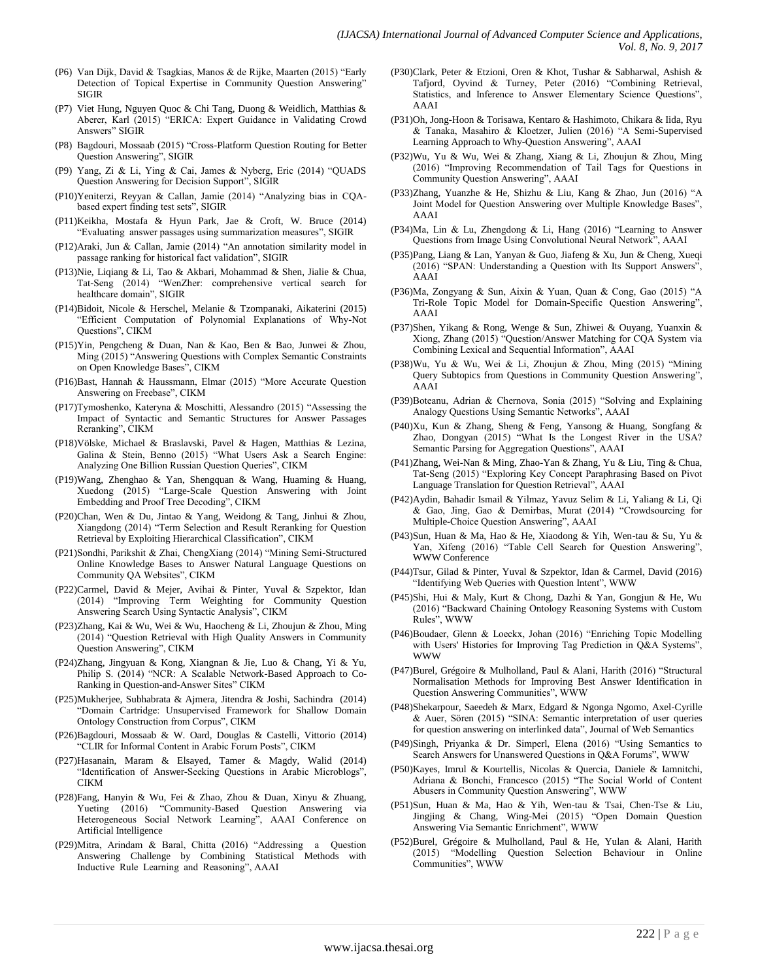- (P6) Van Dijk, David & Tsagkias, Manos & de Rijke, Maarten (2015) "Early Detection of Topical Expertise in Community Question Answering' SIGIR
- (P7) Viet Hung, Nguyen Quoc & Chi Tang, Duong & Weidlich, Matthias & Aberer, Karl (2015) "ERICA: Expert Guidance in Validating Crowd Answers" SIGIR
- (P8) Bagdouri, Mossaab (2015) "Cross-Platform Question Routing for Better Question Answering", SIGIR
- (P9) Yang, Zi & Li, Ying & Cai, James & Nyberg, Eric (2014) "QUADS Question Answering for Decision Support", SIGIR
- (P10)Yeniterzi, Reyyan & Callan, Jamie (2014) "Analyzing bias in CQAbased expert finding test sets", SIGIR
- (P11)Keikha, Mostafa & Hyun Park, Jae & Croft, W. Bruce (2014) "Evaluating answer passages using summarization measures", SIGIR
- (P12)Araki, Jun & Callan, Jamie (2014) "An annotation similarity model in passage ranking for historical fact validation", SIGIR
- (P13)Nie, Liqiang & Li, Tao & Akbari, Mohammad & Shen, Jialie & Chua, Tat-Seng (2014) "WenZher: comprehensive vertical search for healthcare domain", SIGIR
- (P14)Bidoit, Nicole & Herschel, Melanie & Tzompanaki, Aikaterini (2015) ―Efficient Computation of Polynomial Explanations of Why-Not Questions", CIKM
- (P15)Yin, Pengcheng & Duan, Nan & Kao, Ben & Bao, Junwei & Zhou, Ming (2015) "Answering Questions with Complex Semantic Constraints on Open Knowledge Bases", CIKM
- (P16)Bast, Hannah & Haussmann, Elmar (2015) "More Accurate Question Answering on Freebase", CIKM
- (P17)Tymoshenko, Kateryna & Moschitti, Alessandro (2015) "Assessing the Impact of Syntactic and Semantic Structures for Answer Passages Reranking", CIKM
- (P18)Völske, Michael & Braslavski, Pavel & Hagen, Matthias & Lezina, Galina & Stein, Benno (2015) "What Users Ask a Search Engine: Analyzing One Billion Russian Question Queries", CIKM
- (P19)Wang, Zhenghao & Yan, Shengquan & Wang, Huaming & Huang, Xuedong (2015) "Large-Scale Question Answering with Joint Embedding and Proof Tree Decoding", CIKM
- (P20)Chan, Wen & Du, Jintao & Yang, Weidong & Tang, Jinhui & Zhou, Xiangdong (2014) "Term Selection and Result Reranking for Question Retrieval by Exploiting Hierarchical Classification", CIKM
- (P21)Sondhi, Parikshit & Zhai, ChengXiang (2014) "Mining Semi-Structured Online Knowledge Bases to Answer Natural Language Questions on Community OA Websites", CIKM
- (P22)Carmel, David & Mejer, Avihai & Pinter, Yuval & Szpektor, Idan (2014) "Improving Term Weighting for Community Question Answering Search Using Syntactic Analysis", CIKM
- (P23)Zhang, Kai & Wu, Wei & Wu, Haocheng & Li, Zhoujun & Zhou, Ming (2014) "Question Retrieval with High Quality Answers in Community Question Answering", CIKM
- (P24)Zhang, Jingyuan & Kong, Xiangnan & Jie, Luo & Chang, Yi & Yu, Philip S. (2014) "NCR: A Scalable Network-Based Approach to Co-Ranking in Question-and-Answer Sites" CIKM
- (P25)Mukherjee, Subhabrata & Ajmera, Jitendra & Joshi, Sachindra (2014) ―Domain Cartridge: Unsupervised Framework for Shallow Domain Ontology Construction from Corpus", CIKM
- (P26)Bagdouri, Mossaab & W. Oard, Douglas & Castelli, Vittorio (2014) "CLIR for Informal Content in Arabic Forum Posts", CIKM
- (P27)Hasanain, Maram & Elsayed, Tamer & Magdy, Walid (2014) "Identification of Answer-Seeking Questions in Arabic Microblogs", CIKM
- (P28)Fang, Hanyin & Wu, Fei & Zhao, Zhou & Duan, Xinyu & Zhuang, Yueting (2016) "Community-Based Question Answering via Heterogeneous Social Network Learning", AAAI Conference on Artificial Intelligence
- (P29)Mitra, Arindam & Baral, Chitta (2016) "Addressing a Question Answering Challenge by Combining Statistical Methods with Inductive Rule Learning and Reasoning", AAAI
- (P30)Clark, Peter & Etzioni, Oren & Khot, Tushar & Sabharwal, Ashish & Tafjord, Oyvind & Turney, Peter (2016) "Combining Retrieval, Statistics, and Inference to Answer Elementary Science Questions", AAAI
- (P31)Oh, Jong-Hoon & Torisawa, Kentaro & Hashimoto, Chikara & Iida, Ryu & Tanaka, Masahiro & Kloetzer, Julien (2016) "A Semi-Supervised Learning Approach to Why-Question Answering", AAAI
- (P32)Wu, Yu & Wu, Wei & Zhang, Xiang & Li, Zhoujun & Zhou, Ming (2016) "Improving Recommendation of Tail Tags for Questions in Community Question Answering", AAAI
- (P33)Zhang, Yuanzhe & He, Shizhu & Liu, Kang & Zhao, Jun (2016) "A Joint Model for Question Answering over Multiple Knowledge Bases", AAAI
- (P34)Ma, Lin & Lu, Zhengdong & Li, Hang (2016) "Learning to Answer Questions from Image Using Convolutional Neural Network", AAAI
- (P35)Pang, Liang & Lan, Yanyan & Guo, Jiafeng & Xu, Jun & Cheng, Xueqi (2016) "SPAN: Understanding a Question with Its Support Answers", AAAI
- (P36)Ma, Zongyang & Sun, Aixin & Yuan, Quan & Cong, Gao (2015) "A Tri-Role Topic Model for Domain-Specific Question Answering", AAAI
- (P37)Shen, Yikang & Rong, Wenge & Sun, Zhiwei & Ouyang, Yuanxin & Xiong, Zhang (2015) "Question/Answer Matching for CQA System via Combining Lexical and Sequential Information", AAAI
- (P38)Wu, Yu & Wu, Wei & Li, Zhoujun & Zhou, Ming (2015) "Mining Query Subtopics from Questions in Community Question Answering", AAAI
- (P39)Boteanu, Adrian & Chernova, Sonia (2015) "Solving and Explaining Analogy Questions Using Semantic Networks", AAAI
- (P40)Xu, Kun & Zhang, Sheng & Feng, Yansong & Huang, Songfang & Zhao, Dongyan (2015) "What Is the Longest River in the USA? Semantic Parsing for Aggregation Questions", AAAI
- (P41)Zhang, Wei-Nan & Ming, Zhao-Yan & Zhang, Yu & Liu, Ting & Chua, Tat-Seng (2015) "Exploring Key Concept Paraphrasing Based on Pivot Language Translation for Question Retrieval", AAAI
- (P42)Aydin, Bahadir Ismail & Yilmaz, Yavuz Selim & Li, Yaliang & Li, Qi & Gao, Jing, Gao & Demirbas, Murat (2014) "Crowdsourcing for Multiple-Choice Question Answering", AAAI
- (P43)Sun, Huan & Ma, Hao & He, Xiaodong & Yih, Wen-tau & Su, Yu & Yan, Xifeng (2016) "Table Cell Search for Question Answering", WWW Conference
- (P44)Tsur, Gilad & Pinter, Yuval & Szpektor, Idan & Carmel, David (2016) "Identifying Web Queries with Question Intent", WWW
- (P45)Shi, Hui & Maly, Kurt & Chong, Dazhi & Yan, Gongjun & He, Wu (2016) "Backward Chaining Ontology Reasoning Systems with Custom Rules", WWW
- (P46)Boudaer, Glenn & Loeckx, Johan (2016) "Enriching Topic Modelling with Users' Histories for Improving Tag Prediction in Q&A Systems", WWW
- (P47)Burel, Grégoire & Mulholland, Paul & Alani, Harith (2016) "Structural Normalisation Methods for Improving Best Answer Identification in Question Answering Communities", WWW
- (P48)Shekarpour, Saeedeh & Marx, Edgard & Ngonga Ngomo, Axel-Cyrille & Auer, Sören (2015) "SINA: Semantic interpretation of user queries for question answering on interlinked data", Journal of Web Semantics
- (P49)Singh, Priyanka & Dr. Simperl, Elena (2016) "Using Semantics to Search Answers for Unanswered Questions in Q&A Forums", WWW
- (P50)Kayes, Imrul & Kourtellis, Nicolas & Quercia, Daniele & Iamnitchi, Adriana & Bonchi, Francesco (2015) "The Social World of Content Abusers in Community Question Answering", WWW
- (P51)Sun, Huan & Ma, Hao & Yih, Wen-tau & Tsai, Chen-Tse & Liu, Jingjing & Chang, Wing-Mei (2015) "Open Domain Question Answering Via Semantic Enrichment", WWW
- (P52)Burel, Grégoire & Mulholland, Paul & He, Yulan & Alani, Harith (2015) "Modelling Question Selection Behaviour in Online Communities", WWW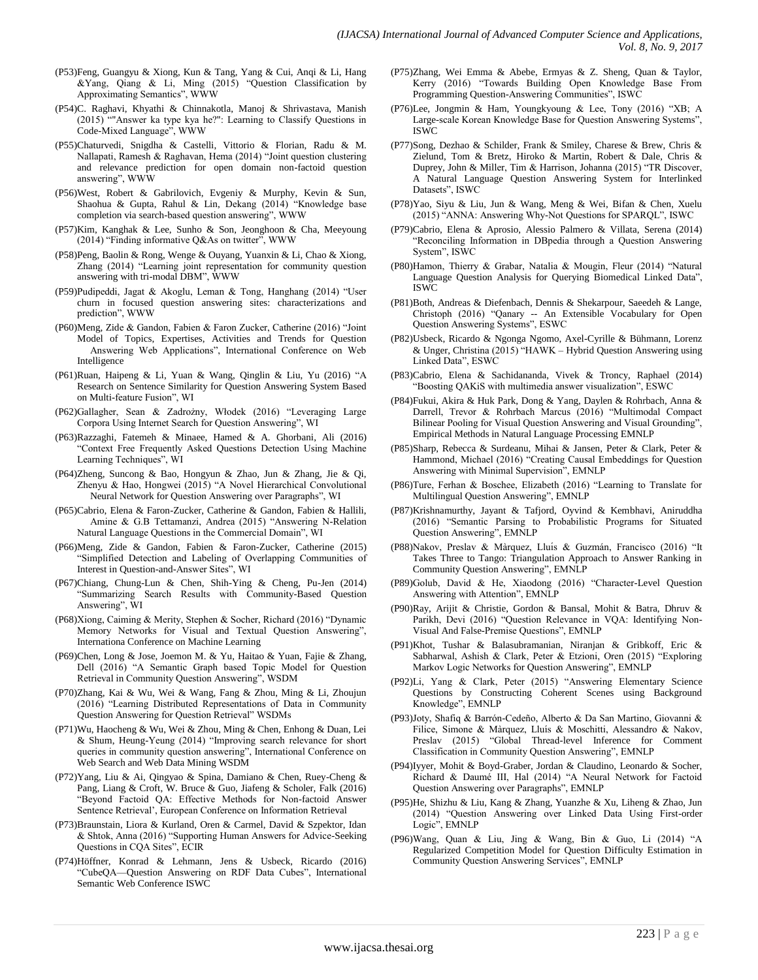- (P53)Feng, Guangyu & Xiong, Kun & Tang, Yang & Cui, Anqi & Li, Hang &Yang, Qiang & Li, Ming  $(2015)$  "Question Classification by Approximating Semantics", WWW
- (P54)C. Raghavi, Khyathi & Chinnakotla, Manoj & Shrivastava, Manish (2015) ―"Answer ka type kya he?": Learning to Classify Questions in Code-Mixed Language", WWW
- (P55)Chaturvedi, Snigdha & Castelli, Vittorio & Florian, Radu & M. Nallapati, Ramesh & Raghavan, Hema (2014) "Joint question clustering and relevance prediction for open domain non-factoid question answering", WWW
- (P56)West, Robert & Gabrilovich, Evgeniy & Murphy, Kevin & Sun, Shaohua & Gupta, Rahul & Lin, Dekang (2014) "Knowledge base completion via search-based question answering", WWW
- (P57)Kim, Kanghak & Lee, Sunho & Son, Jeonghoon & Cha, Meeyoung (2014) "Finding informative Q&As on twitter", WWW
- (P58)Peng, Baolin & Rong, Wenge & Ouyang, Yuanxin & Li, Chao & Xiong, Zhang (2014) "Learning joint representation for community question answering with tri-modal DBM", WWW
- (P59)Pudipeddi, Jagat & Akoglu, Leman & Tong, Hanghang (2014) "User churn in focused question answering sites: characterizations and prediction", WWW
- (P60)Meng, Zide & Gandon, Fabien & Faron Zucker, Catherine (2016) "Joint Model of Topics, Expertises, Activities and Trends for Question Answering Web Applications", International Conference on Web Intelligence
- (P61)Ruan, Haipeng & Li, Yuan & Wang, Qinglin & Liu, Yu (2016) "A Research on Sentence Similarity for Question Answering System Based on Multi-feature Fusion". WI
- (P62)Gallagher, Sean & Zadrożny, Włodek (2016) "Leveraging Large Corpora Using Internet Search for Question Answering", WI
- (P63)Razzaghi, Fatemeh & Minaee, Hamed & A. Ghorbani, Ali (2016) ―Context Free Frequently Asked Questions Detection Using Machine Learning Techniques", WI
- (P64)Zheng, Suncong & Bao, Hongyun & Zhao, Jun & Zhang, Jie & Qi, Zhenyu & Hao, Hongwei (2015) "A Novel Hierarchical Convolutional Neural Network for Question Answering over Paragraphs", WI
- (P65)Cabrio, Elena & Faron-Zucker, Catherine & Gandon, Fabien & Hallili, Amine & G.B Tettamanzi, Andrea (2015) "Answering N-Relation Natural Language Questions in the Commercial Domain", WI
- (P66)Meng, Zide & Gandon, Fabien & Faron-Zucker, Catherine (2015) ―Simplified Detection and Labeling of Overlapping Communities of Interest in Question-and-Answer Sites", WI
- (P67)Chiang, Chung-Lun & Chen, Shih-Ying & Cheng, Pu-Jen (2014) ―Summarizing Search Results with Community-Based Question Answering", WI
- (P68)Xiong, Caiming & Merity, Stephen & Socher, Richard (2016) "Dynamic Memory Networks for Visual and Textual Question Answering", Internationa Conference on Machine Learning
- (P69)Chen, Long & Jose, Joemon M. & Yu, Haitao & Yuan, Fajie & Zhang, Dell (2016) "A Semantic Graph based Topic Model for Question Retrieval in Community Question Answering", WSDM
- (P70)Zhang, Kai & Wu, Wei & Wang, Fang & Zhou, Ming & Li, Zhoujun (2016) "Learning Distributed Representations of Data in Community Question Answering for Question Retrieval" WSDMs
- (P71)Wu, Haocheng & Wu, Wei & Zhou, Ming & Chen, Enhong & Duan, Lei & Shum, Heung-Yeung (2014) "Improving search relevance for short queries in community question answering", International Conference on Web Search and Web Data Mining WSDM
- (P72)Yang, Liu & Ai, Qingyao & Spina, Damiano & Chen, Ruey-Cheng & Pang, Liang & Croft, W. Bruce & Guo, Jiafeng & Scholer, Falk (2016) "Beyond Factoid QA: Effective Methods for Non-factoid Answer Sentence Retrieval', European Conference on Information Retrieval
- (P73)Braunstain, Liora & Kurland, Oren & Carmel, David & Szpektor, Idan & Shtok, Anna (2016) "Supporting Human Answers for Advice-Seeking Questions in CQA Sites", ECIR
- (P74)Höffner, Konrad & Lehmann, Jens & Usbeck, Ricardo (2016) ―CubeQA—Question Answering on RDF Data Cubes‖, International Semantic Web Conference ISWC
- (P75)Zhang, Wei Emma & Abebe, Ermyas & Z. Sheng, Quan & Taylor, Kerry (2016) "Towards Building Open Knowledge Base From Programming Question-Answering Communities", ISWC
- (P76)Lee, Jongmin & Ham, Youngkyoung & Lee, Tony (2016) "XB; A Large-scale Korean Knowledge Base for Question Answering Systems", ISWC
- (P77)Song, Dezhao & Schilder, Frank & Smiley, Charese & Brew, Chris & Zielund, Tom & Bretz, Hiroko & Martin, Robert & Dale, Chris & Duprey, John & Miller, Tim & Harrison, Johanna (2015) "TR Discover, A Natural Language Question Answering System for Interlinked Datasets", ISWC
- (P78)Yao, Siyu & Liu, Jun & Wang, Meng & Wei, Bifan & Chen, Xuelu (2015) "ANNA: Answering Why-Not Questions for SPARQL", ISWC
- (P79)Cabrio, Elena & Aprosio, Alessio Palmero & Villata, Serena (2014) ―Reconciling Information in DBpedia through a Question Answering System", ISWC
- (P80)Hamon, Thierry & Grabar, Natalia & Mougin, Fleur (2014) "Natural Language Question Analysis for Querying Biomedical Linked Data", ISWC
- (P81)Both, Andreas & Diefenbach, Dennis & Shekarpour, Saeedeh & Lange, Christoph (2016) "Qanary -- An Extensible Vocabulary for Open Question Answering Systems", ESWC
- (P82)Usbeck, Ricardo & Ngonga Ngomo, Axel-Cyrille & Bühmann, Lorenz & Unger, Christina (2015) "HAWK - Hybrid Question Answering using Linked Data", ESWC
- (P83)Cabrio, Elena & Sachidananda, Vivek & Troncy, Raphael (2014) "Boosting QAKiS with multimedia answer visualization", ESWC
- (P84)Fukui, Akira & Huk Park, Dong & Yang, Daylen & Rohrbach, Anna & Darrell, Trevor & Rohrbach Marcus (2016) "Multimodal Compact Bilinear Pooling for Visual Question Answering and Visual Grounding", Empirical Methods in Natural Language Processing EMNLP
- (P85)Sharp, Rebecca & Surdeanu, Mihai & Jansen, Peter & Clark, Peter & Hammond, Michael (2016) "Creating Causal Embeddings for Question Answering with Minimal Supervision", EMNLP
- (P86)Ture, Ferhan & Boschee, Elizabeth (2016) "Learning to Translate for Multilingual Question Answering", EMNLP
- (P87)Krishnamurthy, Jayant & Tafjord, Oyvind & Kembhavi, Aniruddha (2016) "Semantic Parsing to Probabilistic Programs for Situated Question Answering", EMNLP
- (P88)Nakov, Preslav & Màrquez, Lluís & Guzmán, Francisco (2016) "It Takes Three to Tango: Triangulation Approach to Answer Ranking in Community Question Answering", EMNLP
- (P89)Golub, David & He, Xiaodong (2016) "Character-Level Question Answering with Attention", EMNLP
- (P90)Ray, Arijit & Christie, Gordon & Bansal, Mohit & Batra, Dhruv & Parikh, Devi (2016) "Question Relevance in VQA: Identifying Non-Visual And False-Premise Questions", EMNLP
- (P91)Khot, Tushar & Balasubramanian, Niranjan & Gribkoff, Eric & Sabharwal, Ashish & Clark, Peter & Etzioni, Oren (2015) "Exploring Markov Logic Networks for Question Answering", EMNLP
- (P92)Li, Yang & Clark, Peter (2015) "Answering Elementary Science Questions by Constructing Coherent Scenes using Background Knowledge", EMNLP
- (P93)Joty, Shafiq & Barrón-Cedeño, Alberto & Da San Martino, Giovanni & Filice, Simone & Màrquez, Lluís & Moschitti, Alessandro & Nakov, Preslav (2015) "Global Thread-level Inference for Comment Classification in Community Question Answering", EMNLP
- (P94)Iyyer, Mohit & Boyd-Graber, Jordan & Claudino, Leonardo & Socher, Richard & Daumé III, Hal (2014) "A Neural Network for Factoid Question Answering over Paragraphs", EMNLP
- (P95)He, Shizhu & Liu, Kang & Zhang, Yuanzhe & Xu, Liheng & Zhao, Jun (2014) "Question Answering over Linked Data Using First-order Logic", EMNLP
- (P96)Wang, Quan & Liu, Jing & Wang, Bin & Guo, Li (2014) "A Regularized Competition Model for Question Difficulty Estimation in Community Question Answering Services", EMNLP